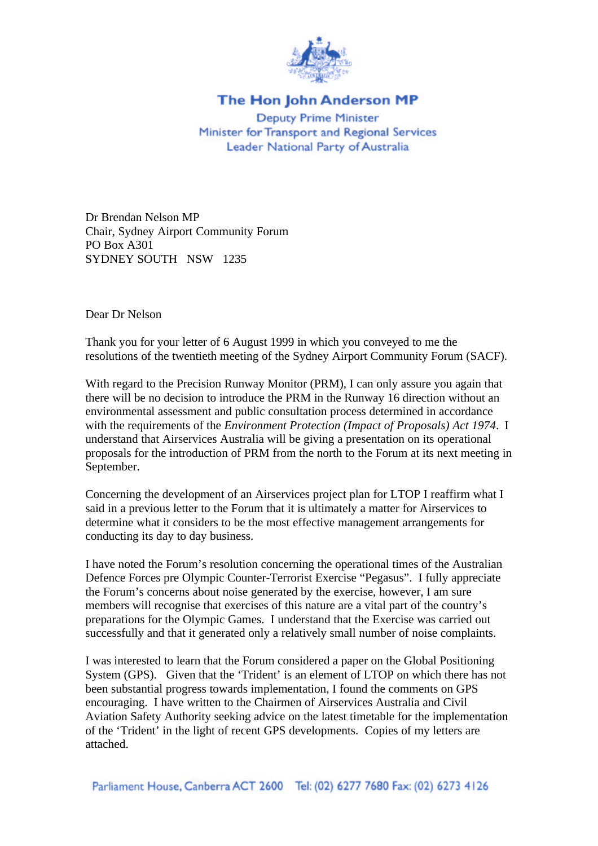

## The Hon John Anderson MP

**Deputy Prime Minister** Minister for Transport and Regional Services Leader National Party of Australia

Dr Brendan Nelson MP Chair, Sydney Airport Community Forum PO Box A301 SYDNEY SOUTH NSW 1235

Dear Dr Nelson

Thank you for your letter of 6 August 1999 in which you conveyed to me the resolutions of the twentieth meeting of the Sydney Airport Community Forum (SACF).

With regard to the Precision Runway Monitor (PRM), I can only assure you again that there will be no decision to introduce the PRM in the Runway 16 direction without an environmental assessment and public consultation process determined in accordance with the requirements of the *Environment Protection (Impact of Proposals) Act 1974*. I understand that Airservices Australia will be giving a presentation on its operational proposals for the introduction of PRM from the north to the Forum at its next meeting in September.

Concerning the development of an Airservices project plan for LTOP I reaffirm what I said in a previous letter to the Forum that it is ultimately a matter for Airservices to determine what it considers to be the most effective management arrangements for conducting its day to day business.

I have noted the Forum's resolution concerning the operational times of the Australian Defence Forces pre Olympic Counter-Terrorist Exercise "Pegasus". I fully appreciate the Forum's concerns about noise generated by the exercise, however, I am sure members will recognise that exercises of this nature are a vital part of the country's preparations for the Olympic Games. I understand that the Exercise was carried out successfully and that it generated only a relatively small number of noise complaints.

I was interested to learn that the Forum considered a paper on the Global Positioning System (GPS). Given that the 'Trident' is an element of LTOP on which there has not been substantial progress towards implementation, I found the comments on GPS encouraging. I have written to the Chairmen of Airservices Australia and Civil Aviation Safety Authority seeking advice on the latest timetable for the implementation of the 'Trident' in the light of recent GPS developments. Copies of my letters are attached.